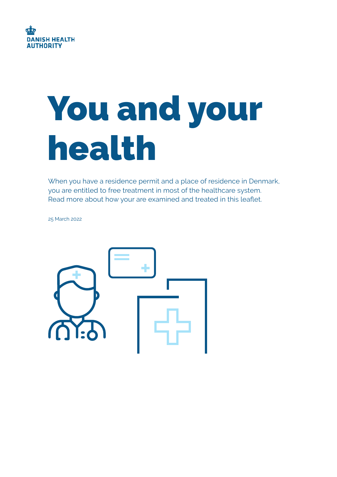

# You and your health

When you have a residence permit and a place of residence in Denmark, you are entitled to free treatment in most of the healthcare system. Read more about how your are examined and treated in this leaflet.

25 March 2022

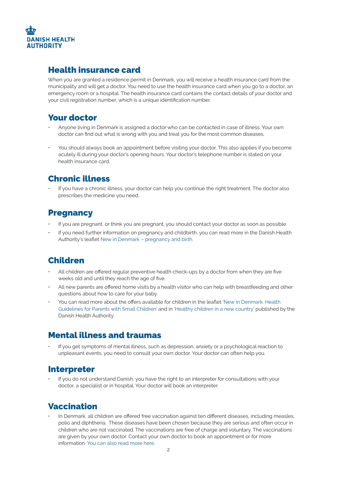

#### Health insurance card

When you are granted a residence permit in Denmark, you will receive a health insurance card from the municipality and will get a doctor. You need to use the health insurance card when you go to a doctor, an emergency room or a hospital. The health insurance card contains the contact details of your doctor and your civil registration number, which is a unique identification number.

#### Your doctor

- Anyone living in Denmark is assigned a doctor who can be contacted in case of illness. Your own doctor can find out what is wrong with you and treat you for the most common diseases.
- You should always book an appointment before visiting your doctor. This also applies if you become acutely ill during your doctor's opening hours. Your doctor's telephone number is stated on your health insurance card.

#### Chronic illness

• If you have a chronic illness, your doctor can help you continue the right treatment. The doctor also prescribes the medicine you need.

#### **Pregnancy**

- If you are pregnant, or think you are pregnant, you should contact your doctor as soon as possible.
- If you need further information on pregnancy and childbirth, you can read more in the Danish Health Authority's leaflet [New in Denmark – pregnancy and birth](https://www.sst.dk/-/media/Udgivelser/2016/Gravid-ny-i-Danmark/Eng_Ny-i-Danmark.ashx).

## Children

- All children are offered regular preventive health check-ups by a doctor from when they are five weeks old and until they reach the age of five.
- All new parents are offered home visits by a health visitor who can help with breastfeeding and other questions about how to care for your baby.
- You can read more about the offers available for children in the leaflet ['New in Denmark. Health](https://www.sst.dk/-/media/Udgivelser/2016/Ny-i-et-fremmed-land/Engelsk_Ny-i-et-fremmed-land.ashx)  [Guidelines for Parents with Small Children](https://www.sst.dk/-/media/Udgivelser/2016/Ny-i-et-fremmed-land/Engelsk_Ny-i-et-fremmed-land.ashx)' and in ['Healthy children in a new country'](https://www.sst.dk/-/media/Udgivelser/2017/Sunde-b%C3%B8rn-i-et-nyt-land/Sunde-b%C3%B8rn-engelsk-udgave.ashx) published by the Danish Health Authority.

## Mental illness and traumas

• If you get symptoms of mental illness, such as depression, anxiety or a psychological reaction to unpleasant events, you need to consult your own doctor. Your doctor can often help you.

#### **Interpreter**

• If you do not understand Danish, you have the right to an interpreter for consultations with your doctor, a specialist or in hospital. Your doctor will book an interpreter.

#### Vaccination

In Denmark, all children are offered free vaccination against ten different diseases, including measles, polio and diphtheria. These diseases have been chosen because they are serious and often occur in children who are not vaccinated. The vaccinations are free of charge and voluntary. The vaccinations are given by your own doctor. Contact your own doctor to book an appointment or for more information. [You can also read more here](https://www.sst.dk/en/English/Expertise-and-guidance/General-public/Children).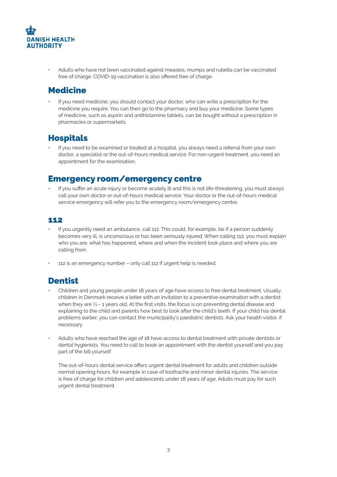

• Adults who have not been vaccinated against measles, mumps and rubella can be vaccinated free of charge. COVID-19 vaccination is also offered free of charge.

#### **Medicine**

If you need medicine, you should contact your doctor, who can write a prescription for the medicine you require. You can then go to the pharmacy and buy your medicine. Some types of medicine, such as aspirin and antihistamine tablets, can be bought without a prescription in pharmacies or supermarkets.

#### Hospitals

• If you need to be examined or treated at a hospital, you always need a referral from your own doctor, a specialist or the out-of-hours medical service. For non-urgent treatment, you need an appointment for the examination.

#### Emergency room/emergency centre

• If you suffer an acute injury or become acutely ill and this is not life-threatening, you must always call your own doctor or out-of-hours medical service. Your doctor or the out-of-hours medical service emergency will refer you to the emergency room/emergency centre.

#### 112

- If you urgently need an ambulance, call 112. This could, for example, be if a person suddenly becomes very ill, is unconscious or has been seriously injured. When calling 112, you must explain who you are, what has happened, where and when the incident took place and where you are calling from.
- 112 is an emergency number only call 112 if urgent help is needed.

## Dentist

- Children and young people under 18 years of age have access to free dental treatment. Usually, children in Denmark receive a letter with an invitation to a preventive examination with a dentist when they are  $\frac{1}{2}$  - 1 years old. At the first visits, the focus is on preventing dental disease and explaining to the child and parents how best to look after the child's teeth. If your child has dental problems earlier, you can contact the municipality's paediatric dentists. Ask your health visitor, if necessary.
- Adults who have reached the age of 18 have access to dental treatment with private dentists or dental hygienists. You need to call to book an appointment with the dentist yourself and you pay part of the bill yourself.

The out-of-hours dental service offers urgent dental treatment for adults and children outside normal opening hours, for example in case of toothache and minor dental injuries. The service is free of charge for children and adolescents under 18 years of age. Adults must pay for such urgent dental treatment.